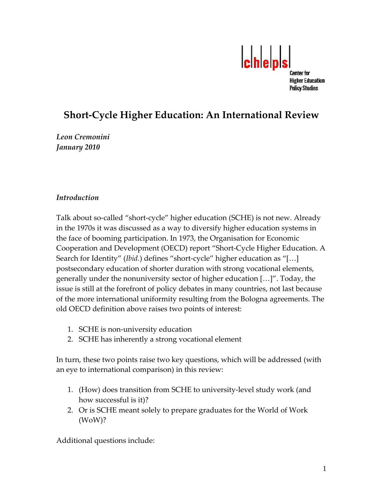

# **Short‐Cycle Higher Education: An International Review**

*Leon Cremonini January 2010*

### *Introduction*

Talk about so‐called "short‐cycle" higher education (SCHE) is not new. Already in the 1970s it was discussed as a way to diversify higher education systems in the face of booming participation. In 1973, the Organisation for Economic Cooperation and Development (OECD) report "Short‐Cycle Higher Education. A Search for Identity" (*Ibid.*) defines "short-cycle" higher education as "[...] postsecondary education of shorter duration with strong vocational elements, generally under the nonuniversity sector of higher education […]". Today, the issue is still at the forefront of policy debates in many countries, not last because of the more international uniformity resulting from the Bologna agreements. The old OECD definition above raises two points of interest:

- 1. SCHE is non‐university education
- 2. SCHE has inherently a strong vocational element

In turn, these two points raise two key questions, which will be addressed (with an eye to international comparison) in this review:

- 1. (How) does transition from SCHE to university‐level study work (and how successful is it)?
- 2. Or is SCHE meant solely to prepare graduates for the World of Work (WoW)?

Additional questions include: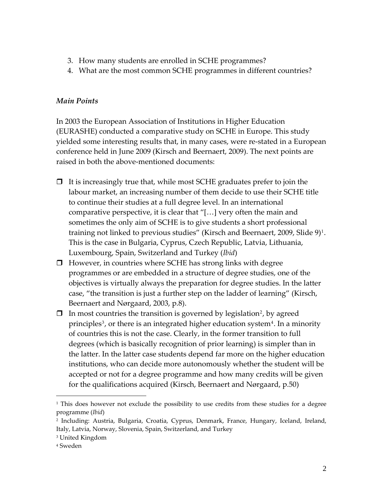- 3. How many students are enrolled in SCHE programmes?
- 4. What are the most common SCHE programmes in different countries?

## *Main Points*

In 2003 the European Association of Institutions in Higher Education (EURASHE) conducted a comparative study on SCHE in Europe. This study yielded some interesting results that, in many cases, were re‐stated in a European conference held in June 2009 (Kirsch and Beernaert, 2009). The next points are raised in both the above‐mentioned documents:

- $\Box$  It is increasingly true that, while most SCHE graduates prefer to join the labour market, an increasing number of them decide to use their SCHE title to continue their studies at a full degree level. In an international comparative perspective, it is clear that "[…] very often the main and sometimes the only aim of SCHE is to give students a short professional training not linked to previous studies" (Kirsch and Beernaert, 2009, Slide  $9)^1$  $9)^1$ . This is the case in Bulgaria, Cyprus, Czech Republic, Latvia, Lithuania, Luxembourg, Spain, Switzerland and Turkey (*Ibid*)
- $\Box$  However, in countries where SCHE has strong links with degree programmes or are embedded in a structure of degree studies, one of the objectives is virtually always the preparation for degree studies. In the latter case, "the transition is just a further step on the ladder of learning" (Kirsch, Beernaert and Nørgaard, 2003, p.8).
- $\Box$  In most countries the transition is governed by legislation<sup>[2](#page-1-1)</sup>, by agreed principles<sup>[3](#page-1-2)</sup>, or there is an integrated higher education system<sup>[4](#page-1-3)</sup>. In a minority of countries this is not the case. Clearly, in the former transition to full degrees (which is basically recognition of prior learning) is simpler than in the latter. In the latter case students depend far more on the higher education institutions, who can decide more autonomously whether the student will be accepted or not for a degree programme and how many credits will be given for the qualifications acquired (Kirsch, Beernaert and Nørgaard, p.50)

<u>.</u>

<span id="page-1-0"></span> $1$  This does however not exclude the possibility to use credits from these studies for a degree programme (*Ibid*)

<span id="page-1-1"></span><sup>2</sup> Including: Austria, Bulgaria, Croatia, Cyprus, Denmark, France, Hungary, Iceland, Ireland, Italy, Latvia, Norway, Slovenia, Spain, Switzerland, and Turkey

<span id="page-1-2"></span><sup>3</sup> United Kingdom

<span id="page-1-3"></span><sup>4</sup> Sweden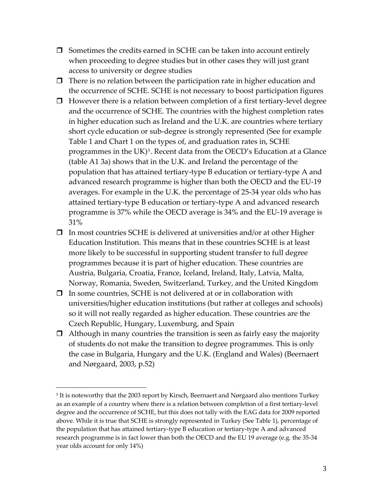- $\Box$  Sometimes the credits earned in SCHE can be taken into account entirely when proceeding to degree studies but in other cases they will just grant access to university or degree studies
- $\Box$  There is no relation between the participation rate in higher education and the occurrence of SCHE. SCHE is not necessary to boost participation figures
- $\Box$  However there is a relation between completion of a first tertiary-level degree and the occurrence of SCHE. The countries with the highest completion rates in higher education such as Ireland and the U.K. are countries where tertiary short cycle education or sub‐degree is strongly represented (See for example Table 1 and Chart 1 on the types of, and graduation rates in, SCHE programmes in the UK)<sup>[5](#page-2-0)</sup>. Recent data from the OECD's Education at a Glance (table A1 3a) shows that in the U.K. and Ireland the percentage of the population that has attained tertiary‐type B education or tertiary‐type A and advanced research programme is higher than both the OECD and the EU‐19 averages. For example in the U.K. the percentage of 25‐34 year olds who has attained tertiary‐type B education or tertiary‐type A and advanced research programme is 37% while the OECD average is 34% and the EU‐19 average is 31%
- $\Box$  In most countries SCHE is delivered at universities and/or at other Higher Education Institution. This means that in these countries SCHE is at least more likely to be successful in supporting student transfer to full degree programmes because it is part of higher education. These countries are Austria, Bulgaria, Croatia, France, Iceland, Ireland, Italy, Latvia, Malta, Norway, Romania, Sweden, Switzerland, Turkey, and the United Kingdom
- $\Box$  In some countries, SCHE is not delivered at or in collaboration with universities/higher education institutions (but rather at colleges and schools) so it will not really regarded as higher education. These countries are the Czech Republic, Hungary, Luxemburg, and Spain
- $\Box$  Although in many countries the transition is seen as fairly easy the majority of students do not make the transition to degree programmes. This is only the case in Bulgaria, Hungary and the U.K. (England and Wales) (Beernaert and Nørgaard, 2003, p.52)

<u>.</u>

<span id="page-2-0"></span><sup>&</sup>lt;sup>5</sup> It is noteworthy that the 2003 report by Kirsch, Beernaert and Nørgaard also mentions Turkey as an example of a country where there is a relation between completion of a first tertiary‐level degree and the occurrence of SCHE, but this does not tally with the EAG data for 2009 reported above. While it is true that SCHE is strongly represented in Turkey (See Table 1), percentage of the population that has attained tertiary‐type B education or tertiary‐type A and advanced research programme is in fact lower than both the OECD and the EU 19 average (e.g. the 35‐34 year olds account for only 14%)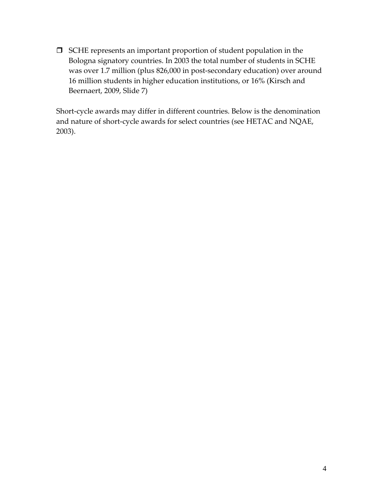SCHE represents an important proportion of student population in the Bologna signatory countries. In 2003 the total number of students in SCHE was over 1.7 million (plus 826,000 in post‐secondary education) over around 16 million students in higher education institutions, or 16% (Kirsch and Beernaert, 2009, Slide 7)

Short‐cycle awards may differ in different countries. Below is the denomination and nature of short‐cycle awards for select countries (see HETAC and NQAE, 2003).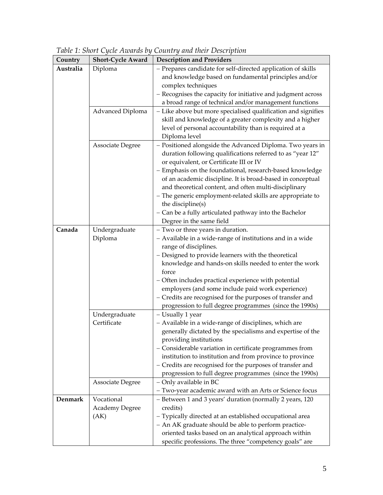| Country   | <b>Short-Cycle Award</b> | <b>Description and Providers</b>                                                |
|-----------|--------------------------|---------------------------------------------------------------------------------|
| Australia | Diploma                  | - Prepares candidate for self-directed application of skills                    |
|           |                          | and knowledge based on fundamental principles and/or                            |
|           |                          | complex techniques                                                              |
|           |                          | - Recognises the capacity for initiative and judgment across                    |
|           |                          | a broad range of technical and/or management functions                          |
|           | Advanced Diploma         | - Like above but more specialised qualification and signifies                   |
|           |                          | skill and knowledge of a greater complexity and a higher                        |
|           |                          | level of personal accountability than is required at a                          |
|           |                          | Diploma level                                                                   |
|           | Associate Degree         | - Positioned alongside the Advanced Diploma. Two years in                       |
|           |                          | duration following qualifications referred to as "year 12"                      |
|           |                          | or equivalent, or Certificate III or IV                                         |
|           |                          | - Emphasis on the foundational, research-based knowledge                        |
|           |                          | of an academic discipline. It is broad-based in conceptual                      |
|           |                          | and theoretical content, and often multi-disciplinary                           |
|           |                          | - The generic employment-related skills are appropriate to<br>the discipline(s) |
|           |                          | - Can be a fully articulated pathway into the Bachelor                          |
|           |                          | Degree in the same field                                                        |
| Canada    | Undergraduate            | - Two or three years in duration.                                               |
|           | Diploma                  | - Available in a wide-range of institutions and in a wide                       |
|           |                          | range of disciplines.                                                           |
|           |                          | - Designed to provide learners with the theoretical                             |
|           |                          | knowledge and hands-on skills needed to enter the work                          |
|           |                          | force                                                                           |
|           |                          | - Often includes practical experience with potential                            |
|           |                          | employers (and some include paid work experience)                               |
|           |                          | - Credits are recognised for the purposes of transfer and                       |
|           |                          | progression to full degree programmes (since the 1990s)                         |
|           | Undergraduate            | - Usually 1 year                                                                |
|           | Certificate              | - Available in a wide-range of disciplines, which are                           |
|           |                          | generally dictated by the specialisms and expertise of the                      |
|           |                          | providing institutions                                                          |
|           |                          | - Considerable variation in certificate programmes from                         |
|           |                          | institution to institution and from province to province                        |
|           |                          | - Credits are recognised for the purposes of transfer and                       |
|           |                          | progression to full degree programmes (since the 1990s)                         |
|           | <b>Associate Degree</b>  | - Only available in BC                                                          |
|           |                          | - Two-year academic award with an Arts or Science focus                         |
| Denmark   | Vocational               | - Between 1 and 3 years' duration (normally 2 years, 120                        |
|           | <b>Academy Degree</b>    | credits)                                                                        |
|           | (AK)                     | - Typically directed at an established occupational area                        |
|           |                          | - An AK graduate should be able to perform practice-                            |
|           |                          | oriented tasks based on an analytical approach within                           |
|           |                          | specific professions. The three "competency goals" are                          |

*Table 1: Short Cycle Awards by Country and their Description*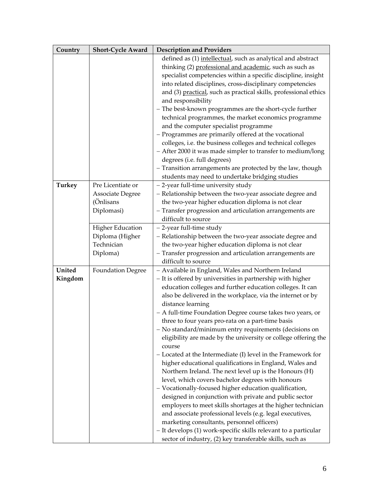| Country       | <b>Short-Cycle Award</b> | <b>Description and Providers</b>                                 |
|---------------|--------------------------|------------------------------------------------------------------|
|               |                          | defined as (1) intellectual, such as analytical and abstract     |
|               |                          | thinking (2) professional and academic, such as such as          |
|               |                          | specialist competencies within a specific discipline, insight    |
|               |                          | into related disciplines, cross-disciplinary competencies        |
|               |                          | and (3) practical, such as practical skills, professional ethics |
|               |                          | and responsibility                                               |
|               |                          | - The best-known programmes are the short-cycle further          |
|               |                          | technical programmes, the market economics programme             |
|               |                          | and the computer specialist programme                            |
|               |                          | - Programmes are primarily offered at the vocational             |
|               |                          | colleges, i.e. the business colleges and technical colleges      |
|               |                          | - After 2000 it was made simpler to transfer to medium/long      |
|               |                          | degrees (i.e. full degrees)                                      |
|               |                          | - Transition arrangements are protected by the law, though       |
|               |                          | students may need to undertake bridging studies                  |
| <b>Turkey</b> | Pre Licentiate or        | - 2-year full-time university study                              |
|               | <b>Associate Degree</b>  | - Relationship between the two-year associate degree and         |
|               | (Önlisans                | the two-year higher education diploma is not clear               |
|               | Diplomasi)               | - Transfer progression and articulation arrangements are         |
|               |                          | difficult to source                                              |
|               | <b>Higher Education</b>  | - 2-year full-time study                                         |
|               | Diploma (Higher          | - Relationship between the two-year associate degree and         |
|               | Technician               | the two-year higher education diploma is not clear               |
|               | Diploma)                 | - Transfer progression and articulation arrangements are         |
|               |                          | difficult to source                                              |
| United        | <b>Foundation Degree</b> | - Available in England, Wales and Northern Ireland               |
| Kingdom       |                          | - It is offered by universities in partnership with higher       |
|               |                          | education colleges and further education colleges. It can        |
|               |                          | also be delivered in the workplace, via the internet or by       |
|               |                          | distance learning                                                |
|               |                          | - A full-time Foundation Degree course takes two years, or       |
|               |                          | three to four years pro-rata on a part-time basis                |
|               |                          | - No standard/minimum entry requirements (decisions on           |
|               |                          | eligibility are made by the university or college offering the   |
|               |                          | course                                                           |
|               |                          | - Located at the Intermediate (I) level in the Framework for     |
|               |                          | higher educational qualifications in England, Wales and          |
|               |                          | Northern Ireland. The next level up is the Honours (H)           |
|               |                          | level, which covers bachelor degrees with honours                |
|               |                          | - Vocationally-focused higher education qualification,           |
|               |                          | designed in conjunction with private and public sector           |
|               |                          | employers to meet skills shortages at the higher technician      |
|               |                          | and associate professional levels (e.g. legal executives,        |
|               |                          | marketing consultants, personnel officers)                       |
|               |                          | - It develops (1) work-specific skills relevant to a particular  |
|               |                          | sector of industry, (2) key transferable skills, such as         |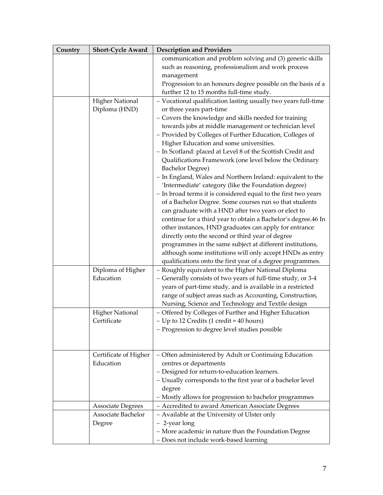| Country | <b>Short-Cycle Award</b>              | <b>Description and Providers</b>                                                                            |
|---------|---------------------------------------|-------------------------------------------------------------------------------------------------------------|
|         |                                       | communication and problem solving and (3) generic skills                                                    |
|         |                                       | such as reasoning, professionalism and work process                                                         |
|         |                                       | management                                                                                                  |
|         |                                       | Progression to an honours degree possible on the basis of a                                                 |
|         |                                       | further 12 to 15 months full-time study.                                                                    |
|         | <b>Higher National</b>                | - Vocational qualification lasting usually two years full-time                                              |
|         | Diploma (HND)                         | or three years part-time                                                                                    |
|         |                                       | - Covers the knowledge and skills needed for training                                                       |
|         |                                       | towards jobs at middle management or technician level                                                       |
|         |                                       | - Provided by Colleges of Further Education, Colleges of                                                    |
|         |                                       | Higher Education and some universities.                                                                     |
|         |                                       | - In Scotland: placed at Level 8 of the Scottish Credit and                                                 |
|         |                                       | Qualifications Framework (one level below the Ordinary                                                      |
|         |                                       | <b>Bachelor Degree)</b>                                                                                     |
|         |                                       | - In England, Wales and Northern Ireland: equivalent to the                                                 |
|         |                                       | 'Intermediate' category (like the Foundation degree)                                                        |
|         |                                       | - In broad terms it is considered equal to the first two years                                              |
|         |                                       | of a Bachelor Degree. Some courses run so that students                                                     |
|         |                                       | can graduate with a HND after two years or elect to                                                         |
|         |                                       | continue for a third year to obtain a Bachelor's degree.46 In                                               |
|         |                                       | other instances, HND graduates can apply for entrance                                                       |
|         |                                       | directly onto the second or third year of degree                                                            |
|         |                                       | programmes in the same subject at different institutions,                                                   |
|         |                                       | although some institutions will only accept HNDs as entry                                                   |
|         |                                       | qualifications onto the first year of a degree programmes.                                                  |
|         | Diploma of Higher                     | - Roughly equivalent to the Higher National Diploma                                                         |
|         | Education                             | - Generally consists of two years of full-time study, or 3-4                                                |
|         |                                       | years of part-time study, and is available in a restricted                                                  |
|         |                                       | range of subject areas such as Accounting, Construction,                                                    |
|         |                                       | Nursing, Science and Technology and Textile design<br>- Offered by Colleges of Further and Higher Education |
|         | <b>Higher National</b><br>Certificate | - Up to 12 Credits (1 credit = 40 hours)                                                                    |
|         |                                       | - Progression to degree level studies possible                                                              |
|         |                                       |                                                                                                             |
|         |                                       |                                                                                                             |
|         | Certificate of Higher                 | - Often administered by Adult or Continuing Education                                                       |
|         | Education                             | centres or departments                                                                                      |
|         |                                       | - Designed for return-to-education learners.                                                                |
|         |                                       | - Usually corresponds to the first year of a bachelor level                                                 |
|         |                                       | degree                                                                                                      |
|         |                                       | - Mostly allows for progression to bachelor programmes                                                      |
|         | <b>Associate Degrees</b>              | - Accredited to award American Associate Degrees                                                            |
|         | Associate Bachelor                    | - Available at the University of Ulster only                                                                |
|         | Degree                                | - 2-year long                                                                                               |
|         |                                       | - More academic in nature than the Foundation Degree                                                        |
|         |                                       | - Does not include work-based learning                                                                      |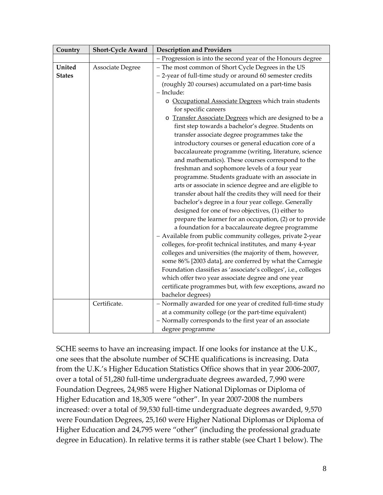| Country       | <b>Short-Cycle Award</b> | <b>Description and Providers</b>                                |
|---------------|--------------------------|-----------------------------------------------------------------|
|               |                          | - Progression is into the second year of the Honours degree     |
| United        | Associate Degree         | - The most common of Short Cycle Degrees in the US              |
| <b>States</b> |                          | - 2-year of full-time study or around 60 semester credits       |
|               |                          | (roughly 20 courses) accumulated on a part-time basis           |
|               |                          | - Include:                                                      |
|               |                          | o Occupational Associate Degrees which train students           |
|               |                          | for specific careers                                            |
|               |                          | o Transfer Associate Degrees which are designed to be a         |
|               |                          | first step towards a bachelor's degree. Students on             |
|               |                          | transfer associate degree programmes take the                   |
|               |                          | introductory courses or general education core of a             |
|               |                          | baccalaureate programme (writing, literature, science           |
|               |                          | and mathematics). These courses correspond to the               |
|               |                          | freshman and sophomore levels of a four year                    |
|               |                          | programme. Students graduate with an associate in               |
|               |                          | arts or associate in science degree and are eligible to         |
|               |                          | transfer about half the credits they will need for their        |
|               |                          | bachelor's degree in a four year college. Generally             |
|               |                          | designed for one of two objectives, (1) either to               |
|               |                          | prepare the learner for an occupation, (2) or to provide        |
|               |                          | a foundation for a baccalaureate degree programme               |
|               |                          | - Available from public community colleges, private 2-year      |
|               |                          | colleges, for-profit technical institutes, and many 4-year      |
|               |                          | colleges and universities (the majority of them, however,       |
|               |                          | some 86% [2003 data], are conferred by what the Carnegie        |
|               |                          | Foundation classifies as 'associate's colleges', i.e., colleges |
|               |                          | which offer two year associate degree and one year              |
|               |                          | certificate programmes but, with few exceptions, award no       |
|               |                          | bachelor degrees)                                               |
|               | Certificate.             | - Normally awarded for one year of credited full-time study     |
|               |                          | at a community college (or the part-time equivalent)            |
|               |                          | - Normally corresponds to the first year of an associate        |
|               |                          | degree programme                                                |

SCHE seems to have an increasing impact. If one looks for instance at the U.K., one sees that the absolute number of SCHE qualifications is increasing. Data from the U.K.'s Higher Education Statistics Office shows that in year 2006‐2007, over a total of 51,280 full‐time undergraduate degrees awarded, 7,990 were Foundation Degrees, 24,985 were Higher National Diplomas or Diploma of Higher Education and 18,305 were "other". In year 2007‐2008 the numbers increased: over a total of 59,530 full‐time undergraduate degrees awarded, 9,570 were Foundation Degrees, 25,160 were Higher National Diplomas or Diploma of Higher Education and 24,795 were "other" (including the professional graduate degree in Education). In relative terms it is rather stable (see Chart 1 below). The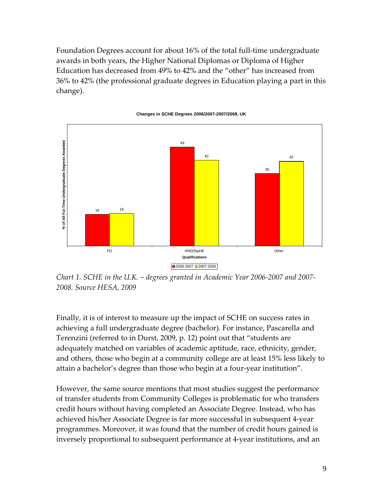Foundation Degrees account for about 16% of the total full-time undergraduate awards in both years, the Higher National Diplomas or Diploma of Higher Education has decreased from 49% to 42% and the "other" has increased from 36% to 42% (the professional graduate degrees in Education playing a part in this change).



**Changes in SCHE Degrees 2006/2007-2007/2008, UK**

*Chart 1. SCHE in the U.K. – degrees granted in Academic Year 2006‐2007 and 2007‐ 2008. Source HESA, 2009*

Finally, it is of interest to measure up the impact of SCHE on success rates in achieving a full undergraduate degree (bachelor). For instance, Pascarella and Terenzini (referred to in Durst, 2009, p. 12) point out that "students are adequately matched on variables of academic aptitude, race, ethnicity, gender, and others, those who begin at a community college are at least 15% less likely to attain a bachelor's degree than those who begin at a four‐year institution".

However, the same source mentions that most studies suggest the performance of transfer students from Community Colleges is problematic for who transfers credit hours without having completed an Associate Degree. Instead, who has achieved his/her Associate Degree is far more successful in subsequent 4‐year programmes. Moreover, it was found that the number of credit hours gained is inversely proportional to subsequent performance at 4‐year institutions, and an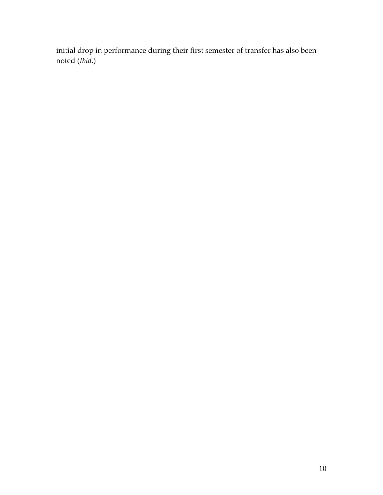initial drop in performance during their first semester of transfer has also been noted (*Ibid*.)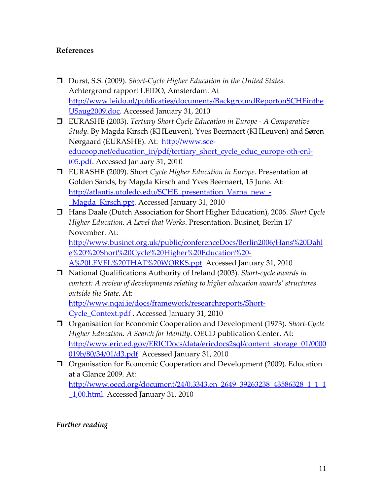## **References**

- Durst, S.S. (2009). *Short‐Cycle Higher Education in the United States*. Achtergrond rapport LEIDO, Amsterdam. At [http://www.leido.nl/publicaties/documents/BackgroundReportonSCHEinthe](http://www.leido.nl/publicaties/documents/BackgroundReportonSCHEintheUSaug2009.doc) [USaug2009.doc.](http://www.leido.nl/publicaties/documents/BackgroundReportonSCHEintheUSaug2009.doc) Accessed January 31, 2010
- EURASHE (2003). *Tertiary Short Cycle Education in Europe ‐ A Comparative Study*. By Magda Kirsch (KHLeuven), Yves Beernaert (KHLeuven) and Søren Nørgaard (EURASHE). At: [http://www.see](http://www.see-educoop.net/education_in/pdf/tertiary_short_cycle_educ_europe-oth-enl-t05.pdf)[educoop.net/education\\_in/pdf/tertiary\\_short\\_cycle\\_educ\\_europe](http://www.see-educoop.net/education_in/pdf/tertiary_short_cycle_educ_europe-oth-enl-t05.pdf)-oth-enl[t05.pdf](http://www.see-educoop.net/education_in/pdf/tertiary_short_cycle_educ_europe-oth-enl-t05.pdf). Accessed January 31, 2010
- EURASHE (2009). Short *Cycle Higher Education in Europe*. Presentation at Golden Sands, by Magda Kirsch and Yves Beernaert, 15 June. At: http://atlantis.utoledo.edu/SCHE\_presentation\_Varna\_new -Magda Kirsch.ppt. Accessed January 31, 2010
- Hans Daale (Dutch Association for Short Higher Education), 2006. *Short Cycle Higher Education. A Level that Works*. Presentation. Businet, Berlin 17 November. At:

[http://www.businet.org.uk/public/conferenceDocs/Berlin2006/Hans%20Dahl](http://www.businet.org.uk/public/conferenceDocs/Berlin2006/Hans%20Dahle%20%20Short%20Cycle%20Higher%20Education%20-A%20LEVEL%20THAT%20WORKS.ppt) [e%20%20Short%20Cycle%20Higher%20Education%20](http://www.businet.org.uk/public/conferenceDocs/Berlin2006/Hans%20Dahle%20%20Short%20Cycle%20Higher%20Education%20-A%20LEVEL%20THAT%20WORKS.ppt)‐ [A%20LEVEL%20THAT%20WORKS.ppt](http://www.businet.org.uk/public/conferenceDocs/Berlin2006/Hans%20Dahle%20%20Short%20Cycle%20Higher%20Education%20-A%20LEVEL%20THAT%20WORKS.ppt). Accessed January 31, 2010

 National Qualifications Authority of Ireland (2003). *Short‐cycle awards in context: A review of developments relating to higher education awards' structures outside the State*. At:

[http://www.nqai.ie/docs/framework/researchreports/Short](http://www.nqai.ie/docs/framework/researchreports/Short-Cycle_Context.pdf)‐ [Cycle\\_Context.pdf](http://www.nqai.ie/docs/framework/researchreports/Short-Cycle_Context.pdf) . Accessed January 31, 2010

- Organisation for Economic Cooperation and Development (1973). *Short‐Cycle Higher Education. A Search for Identity*. OECD publication Center. At: [http://www.eric.ed.gov/ERICDocs/data/ericdocs2sql/content\\_storage\\_01/0000](http://www.eric.ed.gov/ERICDocs/data/ericdocs2sql/content_storage_01/0000019b/80/34/01/d3.pdf) [019b/80/34/01/d3.pdf.](http://www.eric.ed.gov/ERICDocs/data/ericdocs2sql/content_storage_01/0000019b/80/34/01/d3.pdf) Accessed January 31, 2010
- Organisation for Economic Cooperation and Development (2009). Education at a Glance 2009. At: [http://www.oecd.org/document/24/0,3343,en\\_2649\\_39263238\\_43586328\\_1\\_1\\_1](http://www.oecd.org/document/24/0,3343,en_2649_39263238_43586328_1_1_1_1,00.html) [\\_1,00.html.](http://www.oecd.org/document/24/0,3343,en_2649_39263238_43586328_1_1_1_1,00.html) Accessed January 31, 2010

#### *Further reading*